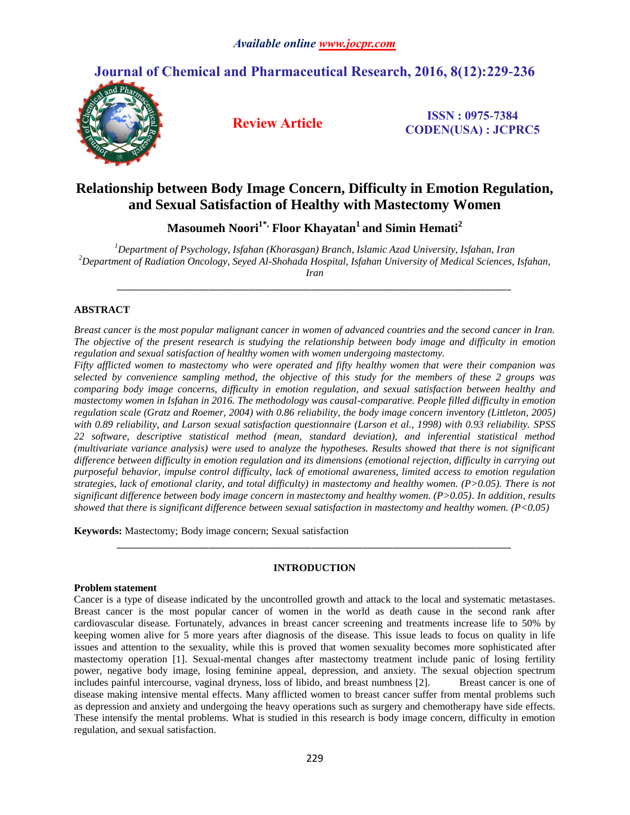# **Journal of Chemical and Pharmaceutical Research, 2016, 8(12):229-236**



**Review Article ISSN : 0975-7384 CODEN(USA) : JCPRC5**

# **Relationship between Body Image Concern, Difficulty in Emotion Regulation, and Sexual Satisfaction of Healthy with Mastectomy Women**

**Masoumeh Noori1\*, Floor Khayatan<sup>1</sup> and Simin Hemati<sup>2</sup>**

*<sup>1</sup>Department of Psychology, Isfahan (Khorasgan) Branch, Islamic Azad University, Isfahan, Iran <sup>2</sup>Department of Radiation Oncology, Seyed Al-Shohada Hospital, Isfahan University of Medical Sciences, Isfahan, Iran*

*\_\_\_\_\_\_\_\_\_\_\_\_\_\_\_\_\_\_\_\_\_\_\_\_\_\_\_\_\_\_\_\_\_\_\_\_\_\_\_\_\_\_\_\_\_\_\_\_\_\_\_\_\_\_\_\_\_\_\_\_\_\_\_\_\_\_\_\_\_\_\_\_\_\_\_\_\_*

# **ABSTRACT**

*Breast cancer is the most popular malignant cancer in women of advanced countries and the second cancer in Iran. The objective of the present research is studying the relationship between body image and difficulty in emotion regulation and sexual satisfaction of healthy women with women undergoing mastectomy.*

*Fifty afflicted women to mastectomy who were operated and fifty healthy women that were their companion was selected by convenience sampling method, the objective of this study for the members of these 2 groups was comparing body image concerns, difficulty in emotion regulation, and sexual satisfaction between healthy and mastectomy women in Isfahan in 2016. The methodology was causal-comparative. People filled difficulty in emotion regulation scale (Gratz and Roemer, 2004) with 0.86 reliability, the body image concern inventory (Littleton, 2005) with 0.89 reliability, and Larson sexual satisfaction questionnaire (Larson et al., 1998) with 0.93 reliability. SPSS 22 software, descriptive statistical method (mean, standard deviation), and inferential statistical method (multivariate variance analysis) were used to analyze the hypotheses. Results showed that there is not significant difference between difficulty in emotion regulation and its dimensions (emotional rejection, difficulty in carrying out purposeful behavior, impulse control difficulty, lack of emotional awareness, limited access to emotion regulation strategies, lack of emotional clarity, and total difficulty) in mastectomy and healthy women. (P>0.05). There is not significant difference between body image concern in mastectomy and healthy women. (P>0.05). In addition, results showed that there is significant difference between sexual satisfaction in mastectomy and healthy women. (P<0.05)*

**Keywords:** Mastectomy; Body image concern; Sexual satisfaction

# **INTRODUCTION**

*\_\_\_\_\_\_\_\_\_\_\_\_\_\_\_\_\_\_\_\_\_\_\_\_\_\_\_\_\_\_\_\_\_\_\_\_\_\_\_\_\_\_\_\_\_\_\_\_\_\_\_\_\_\_\_\_\_\_\_\_\_\_\_\_\_\_\_\_\_\_\_\_\_\_\_\_\_*

#### **Problem statement**

Cancer is a type of disease indicated by the uncontrolled growth and attack to the local and systematic metastases. Breast cancer is the most popular cancer of women in the world as death cause in the second rank after cardiovascular disease. Fortunately, advances in breast cancer screening and treatments increase life to 50% by keeping women alive for 5 more years after diagnosis of the disease. This issue leads to focus on quality in life issues and attention to the sexuality, while this is proved that women sexuality becomes more sophisticated after mastectomy operation [1]. Sexual-mental changes after mastectomy treatment include panic of losing fertility power, negative body image, losing feminine appeal, depression, and anxiety. The sexual objection spectrum includes painful intercourse, vaginal dryness, loss of libido, and breast numbness [2]. Breast cancer is one of disease making intensive mental effects. Many afflicted women to breast cancer suffer from mental problems such as depression and anxiety and undergoing the heavy operations such as surgery and chemotherapy have side effects. These intensify the mental problems. What is studied in this research is body image concern, difficulty in emotion regulation, and sexual satisfaction.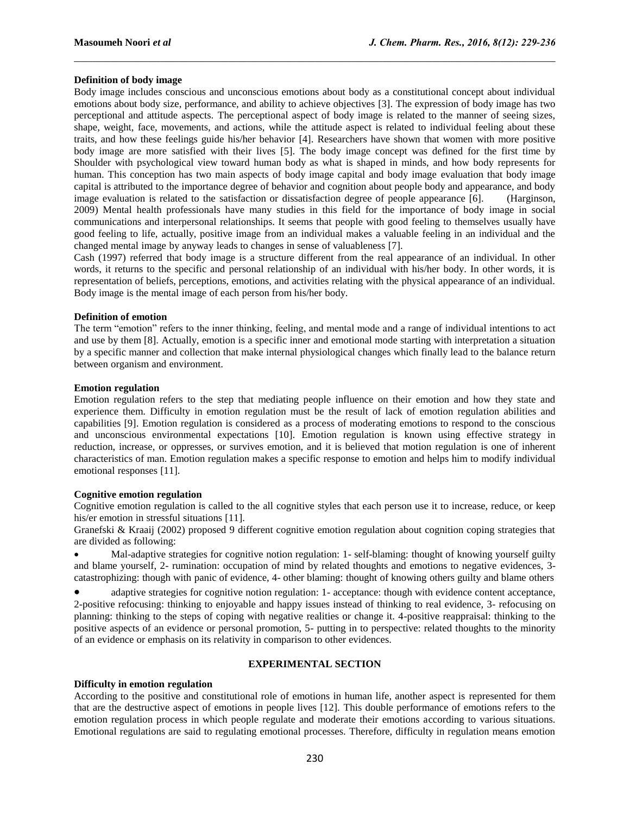# **Definition of body image**

Body image includes conscious and unconscious emotions about body as a constitutional concept about individual emotions about body size, performance, and ability to achieve objectives [3]. The expression of body image has two perceptional and attitude aspects. The perceptional aspect of body image is related to the manner of seeing sizes, shape, weight, face, movements, and actions, while the attitude aspect is related to individual feeling about these traits, and how these feelings guide his/her behavior [4]. Researchers have shown that women with more positive body image are more satisfied with their lives [5]. The body image concept was defined for the first time by Shoulder with psychological view toward human body as what is shaped in minds, and how body represents for human. This conception has two main aspects of body image capital and body image evaluation that body image capital is attributed to the importance degree of behavior and cognition about people body and appearance, and body image evaluation is related to the satisfaction or dissatisfaction degree of people appearance [6]. (Harginson, 2009) Mental health professionals have many studies in this field for the importance of body image in social communications and interpersonal relationships. It seems that people with good feeling to themselves usually have good feeling to life, actually, positive image from an individual makes a valuable feeling in an individual and the changed mental image by anyway leads to changes in sense of valuableness [7].

 $\mathcal{L}_\mathcal{L} = \{ \mathcal{L}_\mathcal{L} = \{ \mathcal{L}_\mathcal{L} = \{ \mathcal{L}_\mathcal{L} = \{ \mathcal{L}_\mathcal{L} = \{ \mathcal{L}_\mathcal{L} = \{ \mathcal{L}_\mathcal{L} = \{ \mathcal{L}_\mathcal{L} = \{ \mathcal{L}_\mathcal{L} = \{ \mathcal{L}_\mathcal{L} = \{ \mathcal{L}_\mathcal{L} = \{ \mathcal{L}_\mathcal{L} = \{ \mathcal{L}_\mathcal{L} = \{ \mathcal{L}_\mathcal{L} = \{ \mathcal{L}_\mathcal{$ 

Cash (1997) referred that body image is a structure different from the real appearance of an individual. In other words, it returns to the specific and personal relationship of an individual with his/her body. In other words, it is representation of beliefs, perceptions, emotions, and activities relating with the physical appearance of an individual. Body image is the mental image of each person from his/her body.

#### **Definition of emotion**

The term "emotion" refers to the inner thinking, feeling, and mental mode and a range of individual intentions to act and use by them [8]. Actually, emotion is a specific inner and emotional mode starting with interpretation a situation by a specific manner and collection that make internal physiological changes which finally lead to the balance return between organism and environment.

#### **Emotion regulation**

Emotion regulation refers to the step that mediating people influence on their emotion and how they state and experience them. Difficulty in emotion regulation must be the result of lack of emotion regulation abilities and capabilities [9]. Emotion regulation is considered as a process of moderating emotions to respond to the conscious and unconscious environmental expectations [10]. Emotion regulation is known using effective strategy in reduction, increase, or oppresses, or survives emotion, and it is believed that motion regulation is one of inherent characteristics of man. Emotion regulation makes a specific response to emotion and helps him to modify individual emotional responses [11].

#### **Cognitive emotion regulation**

Cognitive emotion regulation is called to the all cognitive styles that each person use it to increase, reduce, or keep his/er emotion in stressful situations [11].

Granefski & Kraaij (2002) proposed 9 different cognitive emotion regulation about cognition coping strategies that are divided as following:

 Mal-adaptive strategies for cognitive notion regulation: 1- self-blaming: thought of knowing yourself guilty and blame yourself, 2- rumination: occupation of mind by related thoughts and emotions to negative evidences, 3 catastrophizing: though with panic of evidence, 4- other blaming: thought of knowing others guilty and blame others

 adaptive strategies for cognitive notion regulation: 1- acceptance: though with evidence content acceptance, 2-positive refocusing: thinking to enjoyable and happy issues instead of thinking to real evidence, 3- refocusing on planning: thinking to the steps of coping with negative realities or change it. 4-positive reappraisal: thinking to the positive aspects of an evidence or personal promotion, 5- putting in to perspective: related thoughts to the minority of an evidence or emphasis on its relativity in comparison to other evidences.

### **EXPERIMENTAL SECTION**

#### **Difficulty in emotion regulation**

According to the positive and constitutional role of emotions in human life, another aspect is represented for them that are the destructive aspect of emotions in people lives [12]. This double performance of emotions refers to the emotion regulation process in which people regulate and moderate their emotions according to various situations. Emotional regulations are said to regulating emotional processes. Therefore, difficulty in regulation means emotion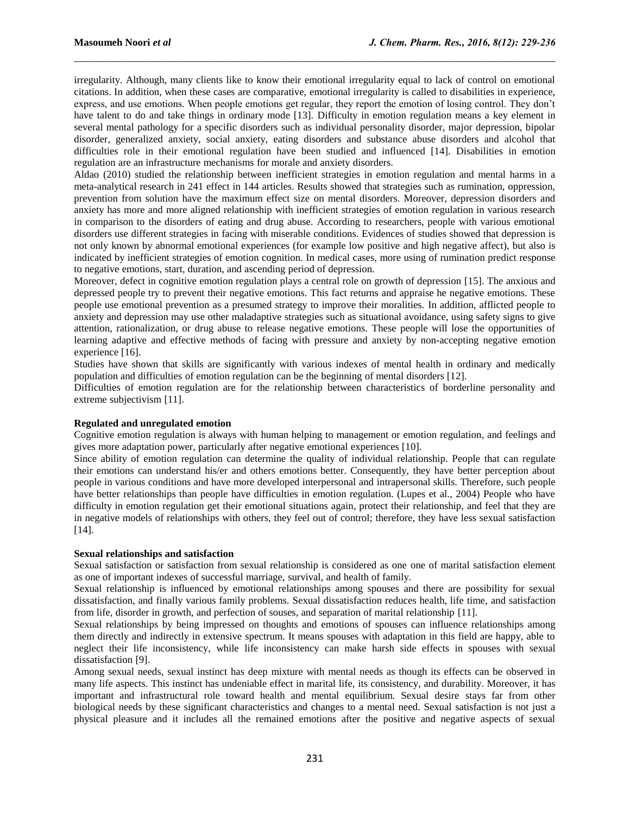irregularity. Although, many clients like to know their emotional irregularity equal to lack of control on emotional citations. In addition, when these cases are comparative, emotional irregularity is called to disabilities in experience, express, and use emotions. When people emotions get regular, they report the emotion of losing control. They don't have talent to do and take things in ordinary mode [13]. Difficulty in emotion regulation means a key element in several mental pathology for a specific disorders such as individual personality disorder, major depression, bipolar disorder, generalized anxiety, social anxiety, eating disorders and substance abuse disorders and alcohol that difficulties role in their emotional regulation have been studied and influenced [14]. Disabilities in emotion regulation are an infrastructure mechanisms for morale and anxiety disorders.

 $\mathcal{L}_\mathcal{L} = \{ \mathcal{L}_\mathcal{L} = \{ \mathcal{L}_\mathcal{L} = \{ \mathcal{L}_\mathcal{L} = \{ \mathcal{L}_\mathcal{L} = \{ \mathcal{L}_\mathcal{L} = \{ \mathcal{L}_\mathcal{L} = \{ \mathcal{L}_\mathcal{L} = \{ \mathcal{L}_\mathcal{L} = \{ \mathcal{L}_\mathcal{L} = \{ \mathcal{L}_\mathcal{L} = \{ \mathcal{L}_\mathcal{L} = \{ \mathcal{L}_\mathcal{L} = \{ \mathcal{L}_\mathcal{L} = \{ \mathcal{L}_\mathcal{$ 

Aldao (2010) studied the relationship between inefficient strategies in emotion regulation and mental harms in a meta-analytical research in 241 effect in 144 articles. Results showed that strategies such as rumination, oppression, prevention from solution have the maximum effect size on mental disorders. Moreover, depression disorders and anxiety has more and more aligned relationship with inefficient strategies of emotion regulation in various research in comparison to the disorders of eating and drug abuse. According to researchers, people with various emotional disorders use different strategies in facing with miserable conditions. Evidences of studies showed that depression is not only known by abnormal emotional experiences (for example low positive and high negative affect), but also is indicated by inefficient strategies of emotion cognition. In medical cases, more using of rumination predict response to negative emotions, start, duration, and ascending period of depression.

Moreover, defect in cognitive emotion regulation plays a central role on growth of depression [15]. The anxious and depressed people try to prevent their negative emotions. This fact returns and appraise he negative emotions. These people use emotional prevention as a presumed strategy to improve their moralities. In addition, afflicted people to anxiety and depression may use other maladaptive strategies such as situational avoidance, using safety signs to give attention, rationalization, or drug abuse to release negative emotions. These people will lose the opportunities of learning adaptive and effective methods of facing with pressure and anxiety by non-accepting negative emotion experience [16].

Studies have shown that skills are significantly with various indexes of mental health in ordinary and medically population and difficulties of emotion regulation can be the beginning of mental disorders [12].

Difficulties of emotion regulation are for the relationship between characteristics of borderline personality and extreme subjectivism [11].

# **Regulated and unregulated emotion**

Cognitive emotion regulation is always with human helping to management or emotion regulation, and feelings and gives more adaptation power, particularly after negative emotional experiences [10].

Since ability of emotion regulation can determine the quality of individual relationship. People that can regulate their emotions can understand his/er and others emotions better. Consequently, they have better perception about people in various conditions and have more developed interpersonal and intrapersonal skills. Therefore, such people have better relationships than people have difficulties in emotion regulation. (Lupes et al., 2004) People who have difficulty in emotion regulation get their emotional situations again, protect their relationship, and feel that they are in negative models of relationships with others, they feel out of control; therefore, they have less sexual satisfaction [14].

#### **Sexual relationships and satisfaction**

Sexual satisfaction or satisfaction from sexual relationship is considered as one one of marital satisfaction element as one of important indexes of successful marriage, survival, and health of family.

Sexual relationship is influenced by emotional relationships among spouses and there are possibility for sexual dissatisfaction, and finally various family problems. Sexual dissatisfaction reduces health, life time, and satisfaction from life, disorder in growth, and perfection of souses, and separation of marital relationship [11].

Sexual relationships by being impressed on thoughts and emotions of spouses can influence relationships among them directly and indirectly in extensive spectrum. It means spouses with adaptation in this field are happy, able to neglect their life inconsistency, while life inconsistency can make harsh side effects in spouses with sexual dissatisfaction [9].

Among sexual needs, sexual instinct has deep mixture with mental needs as though its effects can be observed in many life aspects. This instinct has undeniable effect in marital life, its consistency, and durability. Moreover, it has important and infrastructural role toward health and mental equilibrium. Sexual desire stays far from other biological needs by these significant characteristics and changes to a mental need. Sexual satisfaction is not just a physical pleasure and it includes all the remained emotions after the positive and negative aspects of sexual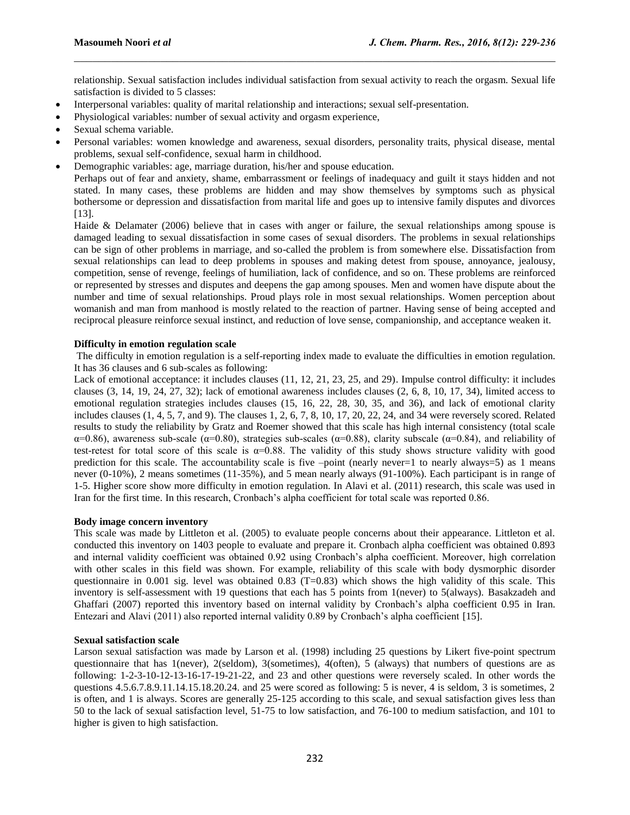relationship. Sexual satisfaction includes individual satisfaction from sexual activity to reach the orgasm. Sexual life satisfaction is divided to 5 classes:

 $\mathcal{L}_\mathcal{L} = \{ \mathcal{L}_\mathcal{L} = \{ \mathcal{L}_\mathcal{L} = \{ \mathcal{L}_\mathcal{L} = \{ \mathcal{L}_\mathcal{L} = \{ \mathcal{L}_\mathcal{L} = \{ \mathcal{L}_\mathcal{L} = \{ \mathcal{L}_\mathcal{L} = \{ \mathcal{L}_\mathcal{L} = \{ \mathcal{L}_\mathcal{L} = \{ \mathcal{L}_\mathcal{L} = \{ \mathcal{L}_\mathcal{L} = \{ \mathcal{L}_\mathcal{L} = \{ \mathcal{L}_\mathcal{L} = \{ \mathcal{L}_\mathcal{$ 

- Interpersonal variables: quality of marital relationship and interactions; sexual self-presentation.
- Physiological variables: number of sexual activity and orgasm experience,
- Sexual schema variable.
- Personal variables: women knowledge and awareness, sexual disorders, personality traits, physical disease, mental problems, sexual self-confidence, sexual harm in childhood.
- Demographic variables: age, marriage duration, his/her and spouse education.

Perhaps out of fear and anxiety, shame, embarrassment or feelings of inadequacy and guilt it stays hidden and not stated. In many cases, these problems are hidden and may show themselves by symptoms such as physical bothersome or depression and dissatisfaction from marital life and goes up to intensive family disputes and divorces [13].

Haide & Delamater (2006) believe that in cases with anger or failure, the sexual relationships among spouse is damaged leading to sexual dissatisfaction in some cases of sexual disorders. The problems in sexual relationships can be sign of other problems in marriage, and so-called the problem is from somewhere else. Dissatisfaction from sexual relationships can lead to deep problems in spouses and making detest from spouse, annoyance, jealousy, competition, sense of revenge, feelings of humiliation, lack of confidence, and so on. These problems are reinforced or represented by stresses and disputes and deepens the gap among spouses. Men and women have dispute about the number and time of sexual relationships. Proud plays role in most sexual relationships. Women perception about womanish and man from manhood is mostly related to the reaction of partner. Having sense of being accepted and reciprocal pleasure reinforce sexual instinct, and reduction of love sense, companionship, and acceptance weaken it.

# **Difficulty in emotion regulation scale**

The difficulty in emotion regulation is a self-reporting index made to evaluate the difficulties in emotion regulation. It has 36 clauses and 6 sub-scales as following:

Lack of emotional acceptance: it includes clauses (11, 12, 21, 23, 25, and 29). Impulse control difficulty: it includes clauses  $(3, 14, 19, 24, 27, 32)$ ; lack of emotional awareness includes clauses  $(2, 6, 8, 10, 17, 34)$ , limited access to emotional regulation strategies includes clauses (15, 16, 22, 28, 30, 35, and 36), and lack of emotional clarity includes clauses  $(1, 4, 5, 7, \text{ and } 9)$ . The clauses  $1, 2, 6, 7, 8, 10, 17, 20, 22, 24,$  and 34 were reversely scored. Related results to study the reliability by Gratz and Roemer showed that this scale has high internal consistency (total scale  $\alpha$ =0.86), awareness sub-scale ( $\alpha$ =0.80), strategies sub-scales ( $\alpha$ =0.88), clarity subscale ( $\alpha$ =0.84), and reliability of test-retest for total score of this scale is  $\alpha$ =0.88. The validity of this study shows structure validity with good prediction for this scale. The accountability scale is five  $-point$  (nearly never=1 to nearly always=5) as 1 means never (0-10%), 2 means sometimes (11-35%), and 5 mean nearly always (91-100%). Each participant is in range of 1-5. Higher score show more difficulty in emotion regulation. In Alavi et al. (2011) research, this scale was used in Iran for the first time. In this research, Cronbach's alpha coefficient for total scale was reported 0.86.

#### **Body image concern inventory**

This scale was made by Littleton et al. (2005) to evaluate people concerns about their appearance. Littleton et al. conducted this inventory on 1403 people to evaluate and prepare it. Cronbach alpha coefficient was obtained 0.893 and internal validity coefficient was obtained 0.92 using Cronbach's alpha coefficient. Moreover, high correlation with other scales in this field was shown. For example, reliability of this scale with body dysmorphic disorder questionnaire in 0.001 sig. level was obtained 0.83 ( $T=0.83$ ) which shows the high validity of this scale. This inventory is self-assessment with 19 questions that each has 5 points from 1(never) to 5(always). Basakzadeh and Ghaffari (2007) reported this inventory based on internal validity by Cronbach's alpha coefficient 0.95 in Iran. Entezari and Alavi (2011) also reported internal validity 0.89 by Cronbach's alpha coefficient [15].

# **Sexual satisfaction scale**

Larson sexual satisfaction was made by Larson et al. (1998) including 25 questions by Likert five-point spectrum questionnaire that has 1(never), 2(seldom), 3(sometimes), 4(often), 5 (always) that numbers of questions are as following: 1-2-3-10-12-13-16-17-19-21-22, and 23 and other questions were reversely scaled. In other words the questions 4.5.6.7.8.9.11.14.15.18.20.24. and 25 were scored as following: 5 is never, 4 is seldom, 3 is sometimes, 2 is often, and 1 is always. Scores are generally 25-125 according to this scale, and sexual satisfaction gives less than 50 to the lack of sexual satisfaction level, 51-75 to low satisfaction, and 76-100 to medium satisfaction, and 101 to higher is given to high satisfaction.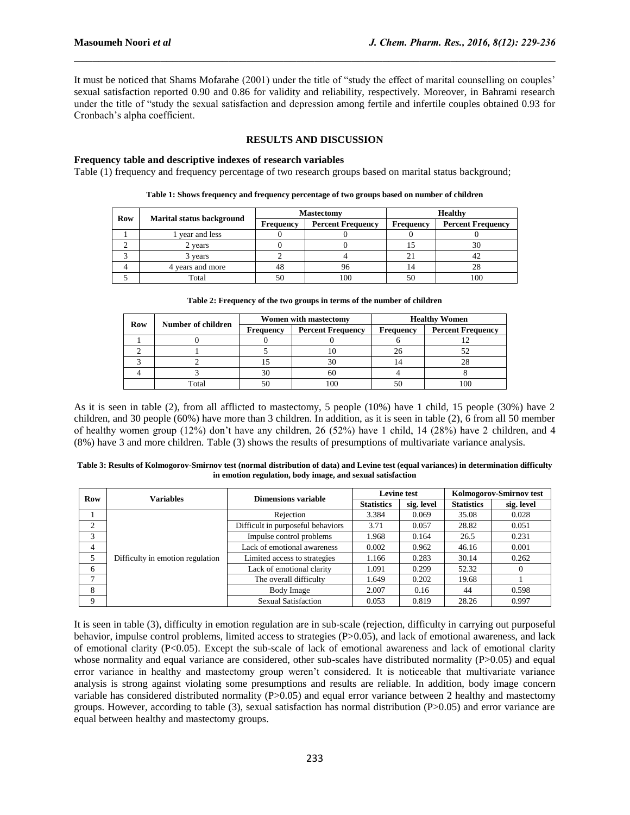It must be noticed that Shams Mofarahe (2001) under the title of "study the effect of marital counselling on couples' sexual satisfaction reported 0.90 and 0.86 for validity and reliability, respectively. Moreover, in Bahrami research under the title of "study the sexual satisfaction and depression among fertile and infertile couples obtained 0.93 for Cronbach's alpha coefficient.

 $\mathcal{L}_\mathcal{L} = \{ \mathcal{L}_\mathcal{L} = \{ \mathcal{L}_\mathcal{L} = \{ \mathcal{L}_\mathcal{L} = \{ \mathcal{L}_\mathcal{L} = \{ \mathcal{L}_\mathcal{L} = \{ \mathcal{L}_\mathcal{L} = \{ \mathcal{L}_\mathcal{L} = \{ \mathcal{L}_\mathcal{L} = \{ \mathcal{L}_\mathcal{L} = \{ \mathcal{L}_\mathcal{L} = \{ \mathcal{L}_\mathcal{L} = \{ \mathcal{L}_\mathcal{L} = \{ \mathcal{L}_\mathcal{L} = \{ \mathcal{L}_\mathcal{$ 

# **RESULTS AND DISCUSSION**

# **Frequency table and descriptive indexes of research variables**

Table (1) frequency and frequency percentage of two research groups based on marital status background;

| Row |                                  |           | <b>Mastectomy</b>        | <b>Healthy</b> |                          |  |
|-----|----------------------------------|-----------|--------------------------|----------------|--------------------------|--|
|     | <b>Marital status background</b> | Frequency | <b>Percent Frequency</b> | Frequency      | <b>Percent Frequency</b> |  |
|     | vear and less                    |           |                          |                |                          |  |
|     | 2 years                          |           |                          |                |                          |  |
|     | 3 years                          |           |                          |                |                          |  |
|     | 4 years and more                 | 48        |                          |                |                          |  |
|     | Total                            | 50        | 100                      |                | 100                      |  |

|  |  |  |  |  |  |  |  | Table 1: Shows frequency and frequency percentage of two groups based on number of children |
|--|--|--|--|--|--|--|--|---------------------------------------------------------------------------------------------|
|--|--|--|--|--|--|--|--|---------------------------------------------------------------------------------------------|

|  | Table 2: Frequency of the two groups in terms of the number of children |
|--|-------------------------------------------------------------------------|
|  |                                                                         |

| <b>Row</b> | Number of children |           | <b>Women with mastectomy</b> | <b>Healthy Women</b> |                          |  |
|------------|--------------------|-----------|------------------------------|----------------------|--------------------------|--|
|            |                    | Frequency | <b>Percent Frequency</b>     | Frequency            | <b>Percent Frequency</b> |  |
|            |                    |           |                              |                      |                          |  |
|            |                    |           |                              |                      |                          |  |
|            |                    |           | 30                           |                      |                          |  |
|            |                    |           | 60                           |                      |                          |  |
|            | Total              |           |                              |                      |                          |  |

As it is seen in table (2), from all afflicted to mastectomy, 5 people (10%) have 1 child, 15 people (30%) have 2 children, and 30 people (60%) have more than 3 children. In addition, as it is seen in table (2), 6 from all 50 member of healthy women group (12%) don't have any children, 26 (52%) have 1 child, 14 (28%) have 2 children, and 4 (8%) have 3 and more children. Table (3) shows the results of presumptions of multivariate variance analysis.

| Table 3: Results of Kolmogorov-Smirnov test (normal distribution of data) and Levine test (equal variances) in determination difficulty |
|-----------------------------------------------------------------------------------------------------------------------------------------|
| in emotion regulation, body image, and sexual satisfaction                                                                              |

| Row            | <b>Variables</b>                 | Dimensions variable               |                   | <b>Levine test</b> | Kolmogorov-Smirnov test |            |  |
|----------------|----------------------------------|-----------------------------------|-------------------|--------------------|-------------------------|------------|--|
|                |                                  |                                   | <b>Statistics</b> | sig. level         | <b>Statistics</b>       | sig. level |  |
|                |                                  | Rejection                         | 3.384             | 0.069              | 35.08                   | 0.028      |  |
| $\mathfrak{D}$ |                                  | Difficult in purposeful behaviors | 3.71              | 0.057              | 28.82                   | 0.051      |  |
| 3              |                                  | Impulse control problems          | 1.968             | 0.164              | 26.5                    | 0.231      |  |
| 4              |                                  | Lack of emotional awareness       | 0.002             | 0.962              | 46.16                   | 0.001      |  |
| 5              | Difficulty in emotion regulation | Limited access to strategies      | 1.166             | 0.283              | 30.14                   | 0.262      |  |
| 6              |                                  | Lack of emotional clarity         | 1.091             | 0.299              | 52.32                   | $\theta$   |  |
| 7              |                                  | The overall difficulty            | 1.649             | 0.202              | 19.68                   |            |  |
| 8              |                                  | Body Image                        | 2.007             | 0.16               | 44                      | 0.598      |  |
| 9              |                                  | <b>Sexual Satisfaction</b>        | 0.053             | 0.819              | 28.26                   | 0.997      |  |

It is seen in table (3), difficulty in emotion regulation are in sub-scale (rejection, difficulty in carrying out purposeful behavior, impulse control problems, limited access to strategies (P>0.05), and lack of emotional awareness, and lack of emotional clarity (P<0.05). Except the sub-scale of lack of emotional awareness and lack of emotional clarity whose normality and equal variance are considered, other sub-scales have distributed normality (P>0.05) and equal error variance in healthy and mastectomy group weren't considered. It is noticeable that multivariate variance analysis is strong against violating some presumptions and results are reliable. In addition, body image concern variable has considered distributed normality (P>0.05) and equal error variance between 2 healthy and mastectomy groups. However, according to table (3), sexual satisfaction has normal distribution (P>0.05) and error variance are equal between healthy and mastectomy groups.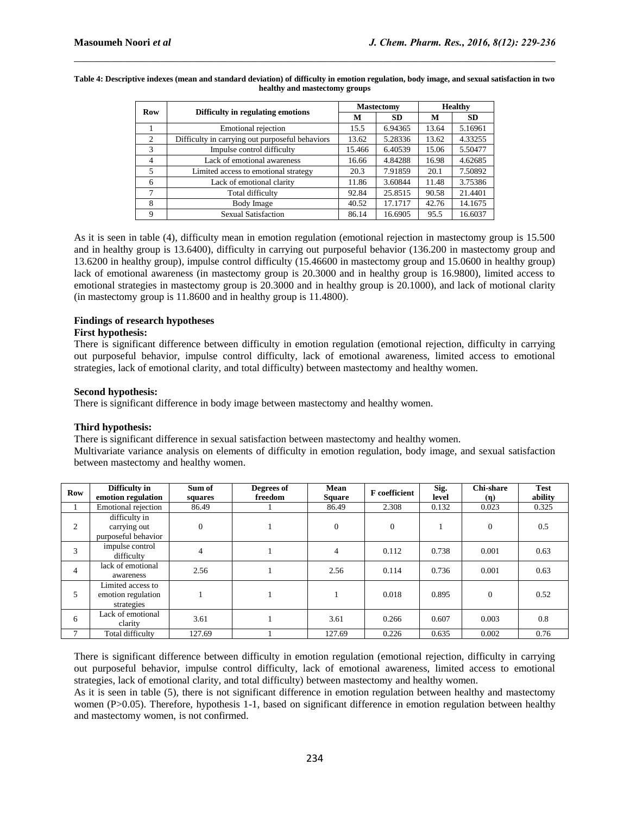| Row            | Difficulty in regulating emotions               |        | <b>Mastectomy</b> | <b>Healthy</b> |           |  |
|----------------|-------------------------------------------------|--------|-------------------|----------------|-----------|--|
|                |                                                 | м      | <b>SD</b>         | м              | <b>SD</b> |  |
|                | Emotional rejection                             | 15.5   | 6.94365           | 13.64          | 5.16961   |  |
| $\mathfrak{D}$ | Difficulty in carrying out purposeful behaviors | 13.62  | 5.28336           | 13.62          | 4.33255   |  |
| $\mathcal{R}$  | Impulse control difficulty                      | 15.466 | 6.40539           | 15.06          | 5.50477   |  |
| $\overline{4}$ | Lack of emotional awareness                     | 16.66  | 4.84288           | 16.98          | 4.62685   |  |
| 5              | Limited access to emotional strategy            | 20.3   | 7.91859           | 20.1           | 7.50892   |  |
| 6              | Lack of emotional clarity                       | 11.86  | 3.60844           | 11.48          | 3.75386   |  |
| 7              | Total difficulty                                | 92.84  | 25.8515           | 90.58          | 21.4401   |  |
| 8              | Body Image                                      | 40.52  | 17.1717           | 42.76          | 14.1675   |  |
| 9              | <b>Sexual Satisfaction</b>                      | 86.14  | 16.6905           | 95.5           | 16.6037   |  |

#### **Table 4: Descriptive indexes (mean and standard deviation) of difficulty in emotion regulation, body image, and sexual satisfaction in two healthy and mastectomy groups**

 $\mathcal{L}_\mathcal{L} = \{ \mathcal{L}_\mathcal{L} = \{ \mathcal{L}_\mathcal{L} = \{ \mathcal{L}_\mathcal{L} = \{ \mathcal{L}_\mathcal{L} = \{ \mathcal{L}_\mathcal{L} = \{ \mathcal{L}_\mathcal{L} = \{ \mathcal{L}_\mathcal{L} = \{ \mathcal{L}_\mathcal{L} = \{ \mathcal{L}_\mathcal{L} = \{ \mathcal{L}_\mathcal{L} = \{ \mathcal{L}_\mathcal{L} = \{ \mathcal{L}_\mathcal{L} = \{ \mathcal{L}_\mathcal{L} = \{ \mathcal{L}_\mathcal{$ 

As it is seen in table (4), difficulty mean in emotion regulation (emotional rejection in mastectomy group is 15.500 and in healthy group is 13.6400), difficulty in carrying out purposeful behavior (136.200 in mastectomy group and 13.6200 in healthy group), impulse control difficulty (15.46600 in mastectomy group and 15.0600 in healthy group) lack of emotional awareness (in mastectomy group is 20.3000 and in healthy group is 16.9800), limited access to emotional strategies in mastectomy group is 20.3000 and in healthy group is 20.1000), and lack of motional clarity (in mastectomy group is 11.8600 and in healthy group is 11.4800).

# **Findings of research hypotheses**

### **First hypothesis:**

There is significant difference between difficulty in emotion regulation (emotional rejection, difficulty in carrying out purposeful behavior, impulse control difficulty, lack of emotional awareness, limited access to emotional strategies, lack of emotional clarity, and total difficulty) between mastectomy and healthy women.

# **Second hypothesis:**

There is significant difference in body image between mastectomy and healthy women.

# **Third hypothesis:**

There is significant difference in sexual satisfaction between mastectomy and healthy women.

Multivariate variance analysis on elements of difficulty in emotion regulation, body image, and sexual satisfaction between mastectomy and healthy women.

| <b>Row</b>     | Difficulty in<br>emotion regulation                   | Sum of<br>squares | Degrees of<br>freedom | Mean<br><b>Square</b> | <b>F</b> coefficient | Sig.<br>level | <b>Chi-share</b><br>(n) | <b>Test</b><br>ability |
|----------------|-------------------------------------------------------|-------------------|-----------------------|-----------------------|----------------------|---------------|-------------------------|------------------------|
|                | Emotional rejection                                   | 86.49             |                       | 86.49                 | 2.308                | 0.132         | 0.023                   | 0.325                  |
| 2              | difficulty in<br>carrying out<br>purposeful behavior  | $\mathbf{0}$      |                       | $\mathbf{0}$          | $\Omega$             |               | $\Omega$                | 0.5                    |
| 3              | impulse control<br>difficulty                         | $\overline{4}$    |                       | $\overline{4}$        | 0.112                | 0.738         | 0.001                   | 0.63                   |
| $\overline{4}$ | lack of emotional<br>awareness                        | 2.56              |                       | 2.56                  | 0.114                | 0.736         | 0.001                   | 0.63                   |
| 5              | Limited access to<br>emotion regulation<br>strategies |                   |                       |                       | 0.018                | 0.895         | $\Omega$                | 0.52                   |
| 6              | Lack of emotional<br>clarity                          | 3.61              |                       | 3.61                  | 0.266                | 0.607         | 0.003                   | 0.8                    |
| 7              | Total difficulty                                      | 127.69            |                       | 127.69                | 0.226                | 0.635         | 0.002                   | 0.76                   |

There is significant difference between difficulty in emotion regulation (emotional rejection, difficulty in carrying out purposeful behavior, impulse control difficulty, lack of emotional awareness, limited access to emotional strategies, lack of emotional clarity, and total difficulty) between mastectomy and healthy women.

As it is seen in table (5), there is not significant difference in emotion regulation between healthy and mastectomy women (P>0.05). Therefore, hypothesis 1-1, based on significant difference in emotion regulation between healthy and mastectomy women, is not confirmed.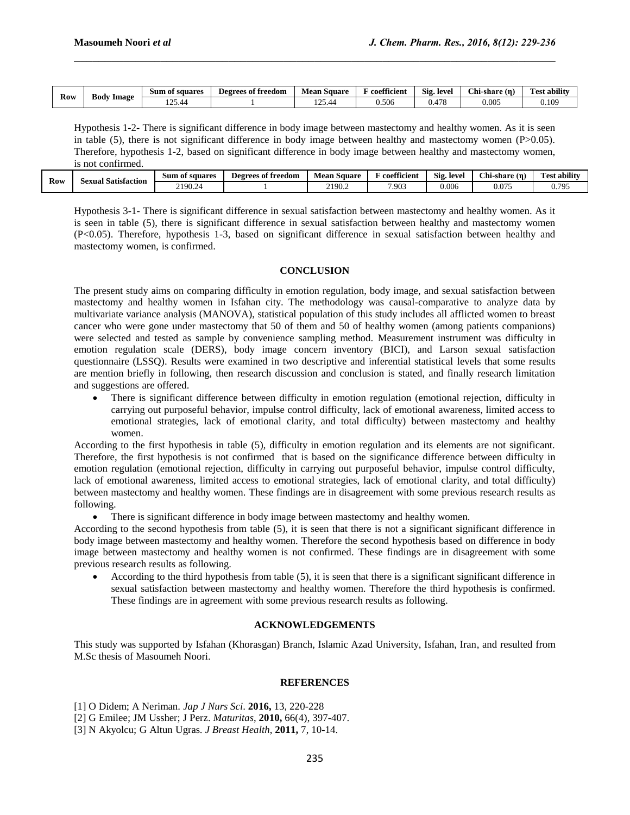| Kow<br>$\sim$ | Image<br>- Body | Sum of squares    | Degrees of freedom | Square<br>Mean                         | 00<br>' coefficien. | Sig<br>. level  | Chi-share (n. | -<br>$\cdots$<br>Test ability |
|---------------|-----------------|-------------------|--------------------|----------------------------------------|---------------------|-----------------|---------------|-------------------------------|
|               |                 | $\cap$<br>. 25.40 |                    | .05<br>$\overline{\mu}$<br>$1 - 7 - 7$ | 0.506               | $4\pi$ C<br>u.+ | $0.005\,$     | 0.10 <sup>o</sup>             |

 $\mathcal{L}_\mathcal{L} = \{ \mathcal{L}_\mathcal{L} = \{ \mathcal{L}_\mathcal{L} = \{ \mathcal{L}_\mathcal{L} = \{ \mathcal{L}_\mathcal{L} = \{ \mathcal{L}_\mathcal{L} = \{ \mathcal{L}_\mathcal{L} = \{ \mathcal{L}_\mathcal{L} = \{ \mathcal{L}_\mathcal{L} = \{ \mathcal{L}_\mathcal{L} = \{ \mathcal{L}_\mathcal{L} = \{ \mathcal{L}_\mathcal{L} = \{ \mathcal{L}_\mathcal{L} = \{ \mathcal{L}_\mathcal{L} = \{ \mathcal{L}_\mathcal{$ 

Hypothesis 1-2- There is significant difference in body image between mastectomy and healthy women. As it is seen in table (5), there is not significant difference in body image between healthy and mastectomy women (P>0.05). Therefore, hypothesis 1-2, based on significant difference in body image between healthy and mastectomy women, is not confirmed.

| <b>Row</b> | Sexual Satisfaction | ı of squares<br>Sum | $\bullet$<br>Degrees of freedom | . Square<br>Mean | 00<br>` coefficient | Sig<br>leve. | Chi<br>!-share (η) | <b>Test ability</b>    |
|------------|---------------------|---------------------|---------------------------------|------------------|---------------------|--------------|--------------------|------------------------|
|            |                     | 2190.2              |                                 | 2190.<br>2120.2  | 7.903               | 0.006        | 0.075              | 705<br>$\mathbf{v}$ ., |

Hypothesis 3-1- There is significant difference in sexual satisfaction between mastectomy and healthy women. As it is seen in table (5), there is significant difference in sexual satisfaction between healthy and mastectomy women (P<0.05). Therefore, hypothesis 1-3, based on significant difference in sexual satisfaction between healthy and mastectomy women, is confirmed.

# **CONCLUSION**

The present study aims on comparing difficulty in emotion regulation, body image, and sexual satisfaction between mastectomy and healthy women in Isfahan city. The methodology was causal-comparative to analyze data by multivariate variance analysis (MANOVA), statistical population of this study includes all afflicted women to breast cancer who were gone under mastectomy that 50 of them and 50 of healthy women (among patients companions) were selected and tested as sample by convenience sampling method. Measurement instrument was difficulty in emotion regulation scale (DERS), body image concern inventory (BICI), and Larson sexual satisfaction questionnaire (LSSQ). Results were examined in two descriptive and inferential statistical levels that some results are mention briefly in following, then research discussion and conclusion is stated, and finally research limitation and suggestions are offered.

 There is significant difference between difficulty in emotion regulation (emotional rejection, difficulty in carrying out purposeful behavior, impulse control difficulty, lack of emotional awareness, limited access to emotional strategies, lack of emotional clarity, and total difficulty) between mastectomy and healthy women.

According to the first hypothesis in table (5), difficulty in emotion regulation and its elements are not significant. Therefore, the first hypothesis is not confirmed that is based on the significance difference between difficulty in emotion regulation (emotional rejection, difficulty in carrying out purposeful behavior, impulse control difficulty, lack of emotional awareness, limited access to emotional strategies, lack of emotional clarity, and total difficulty) between mastectomy and healthy women. These findings are in disagreement with some previous research results as following.

There is significant difference in body image between mastectomy and healthy women.

According to the second hypothesis from table (5), it is seen that there is not a significant significant difference in body image between mastectomy and healthy women. Therefore the second hypothesis based on difference in body image between mastectomy and healthy women is not confirmed. These findings are in disagreement with some previous research results as following.

 According to the third hypothesis from table (5), it is seen that there is a significant significant difference in sexual satisfaction between mastectomy and healthy women. Therefore the third hypothesis is confirmed. These findings are in agreement with some previous research results as following.

# **ACKNOWLEDGEMENTS**

This study was supported by Isfahan (Khorasgan) Branch, Islamic Azad University, Isfahan, Iran, and resulted from M.Sc thesis of Masoumeh Noori.

#### **REFERENCES**

- [1] O Didem; A Neriman. *Jap J Nurs Sci*. **2016,** 13, 220-228
- [2] G Emilee; JM Ussher; J Perz. *Maturitas*, **2010,** 66(4), 397-407.
- [3] N Akyolcu; G Altun Ugras*. J Breast Health*, **2011,** 7, 10-14.